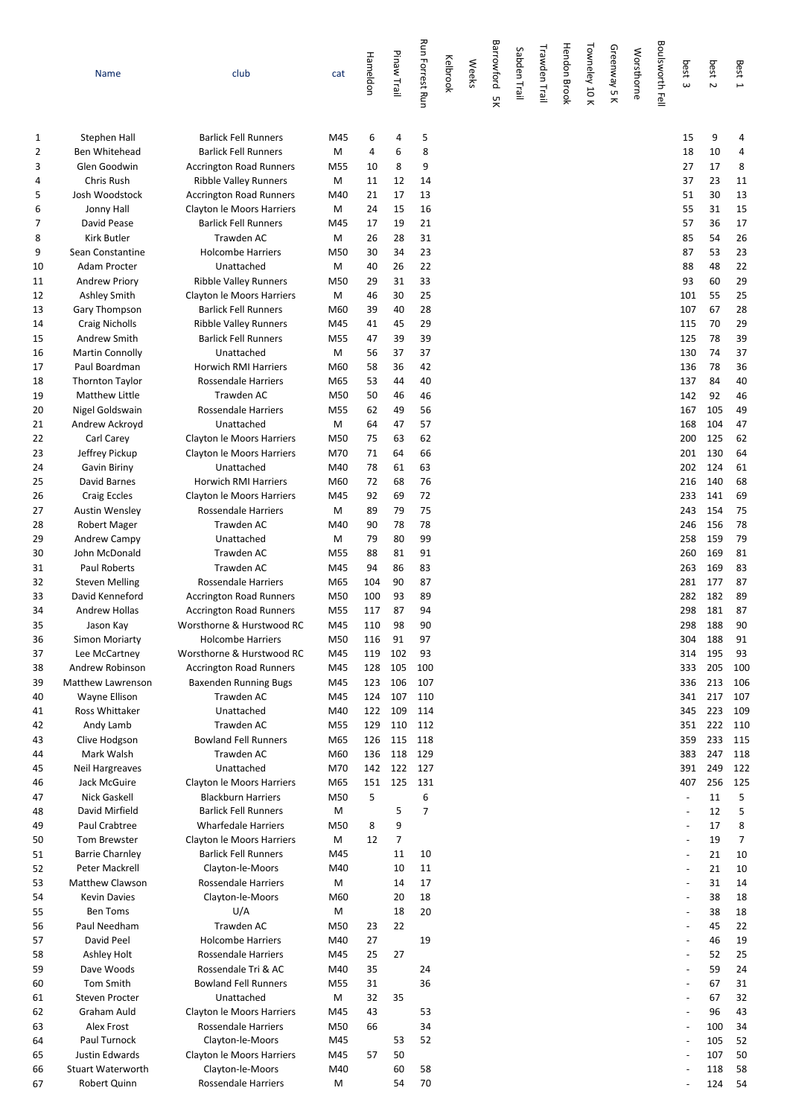|          | Name                                         | club                                                           | cat        | Hameldon   | Pinaw Trail          | <b>Run Forrest Run</b> | Kelbrook | <b>Weeks</b> | Barrowford<br>χğ | Sabden Trail | Trawden Trail | <b>Hendon Brook</b> | Towneley 10 K | Greenway 5 K | Worsthorne | Boulsworth Fell | best<br>$\omega$         | best<br>$\overline{\mathsf{c}}$ | Best 1     |
|----------|----------------------------------------------|----------------------------------------------------------------|------------|------------|----------------------|------------------------|----------|--------------|------------------|--------------|---------------|---------------------|---------------|--------------|------------|-----------------|--------------------------|---------------------------------|------------|
| 1        | Stephen Hall                                 | <b>Barlick Fell Runners</b>                                    | M45        | 6          | 4                    | 5                      |          |              |                  |              |               |                     |               |              |            |                 | 15                       | 9                               | 4          |
| 2        | Ben Whitehead                                | <b>Barlick Fell Runners</b>                                    | M          | 4          | 6                    | 8                      |          |              |                  |              |               |                     |               |              |            |                 | 18                       | 10                              | 4          |
| 3        | Glen Goodwin                                 | Accrington Road Runners                                        | M55        | 10         | 8                    | 9                      |          |              |                  |              |               |                     |               |              |            |                 | 27                       | 17                              | 8          |
| 4        | Chris Rush                                   | <b>Ribble Valley Runners</b>                                   | M          | 11         | 12                   | 14                     |          |              |                  |              |               |                     |               |              |            |                 | 37                       | 23                              | 11         |
| 5        | Josh Woodstock                               | <b>Accrington Road Runners</b>                                 | M40        | 21         | 17                   | 13                     |          |              |                  |              |               |                     |               |              |            |                 | 51                       | 30                              | 13         |
| 6        | Jonny Hall                                   | Clayton le Moors Harriers                                      | M          | 24         | 15                   | 16                     |          |              |                  |              |               |                     |               |              |            |                 | 55                       | 31                              | 15         |
| 7        | David Pease                                  | <b>Barlick Fell Runners</b>                                    | M45        | 17         | 19                   | 21                     |          |              |                  |              |               |                     |               |              |            |                 | 57                       | 36                              | 17         |
| 8        | <b>Kirk Butler</b>                           | Trawden AC                                                     | M          | 26         | 28                   | 31                     |          |              |                  |              |               |                     |               |              |            |                 | 85                       | 54                              | 26         |
| 9        | Sean Constantine                             | <b>Holcombe Harriers</b>                                       | M50        | 30         | 34                   | 23                     |          |              |                  |              |               |                     |               |              |            |                 | 87                       | 53                              | 23         |
| 10<br>11 | Adam Procter<br><b>Andrew Priory</b>         | Unattached                                                     | M<br>M50   | 40<br>29   | 26<br>31             | 22<br>33               |          |              |                  |              |               |                     |               |              |            |                 | 88<br>93                 | 48<br>60                        | 22<br>29   |
| 12       | <b>Ashley Smith</b>                          | <b>Ribble Valley Runners</b><br>Clayton le Moors Harriers      | M          | 46         | 30                   | 25                     |          |              |                  |              |               |                     |               |              |            |                 | 101                      | 55                              | 25         |
| 13       | Gary Thompson                                | <b>Barlick Fell Runners</b>                                    | M60        | 39         | 40                   | 28                     |          |              |                  |              |               |                     |               |              |            |                 | 107                      | 67                              | 28         |
| 14       | <b>Craig Nicholls</b>                        | <b>Ribble Valley Runners</b>                                   | M45        | 41         | 45                   | 29                     |          |              |                  |              |               |                     |               |              |            |                 | 115                      | 70                              | 29         |
| 15       | Andrew Smith                                 | <b>Barlick Fell Runners</b>                                    | M55        | 47         | 39                   | 39                     |          |              |                  |              |               |                     |               |              |            |                 | 125                      | 78                              | 39         |
| 16       | <b>Martin Connolly</b>                       | Unattached                                                     | M          | 56         | 37                   | 37                     |          |              |                  |              |               |                     |               |              |            |                 | 130                      | 74                              | 37         |
| 17       | Paul Boardman                                | <b>Horwich RMI Harriers</b>                                    | M60        | 58         | 36                   | 42                     |          |              |                  |              |               |                     |               |              |            |                 | 136                      | 78                              | 36         |
| 18       | <b>Thornton Taylor</b>                       | Rossendale Harriers                                            | M65        | 53         | 44                   | 40                     |          |              |                  |              |               |                     |               |              |            |                 | 137                      | 84                              | 40         |
| 19       | <b>Matthew Little</b>                        | Trawden AC                                                     | M50        | 50         | 46                   | 46                     |          |              |                  |              |               |                     |               |              |            |                 | 142                      | 92                              | 46         |
| 20       | Nigel Goldswain                              | <b>Rossendale Harriers</b>                                     | M55        | 62         | 49                   | 56                     |          |              |                  |              |               |                     |               |              |            |                 | 167                      | 105                             | 49         |
| 21       | Andrew Ackroyd                               | Unattached                                                     | M          | 64         | 47                   | 57                     |          |              |                  |              |               |                     |               |              |            |                 | 168                      | 104                             | 47         |
| 22       | Carl Carey                                   | Clayton le Moors Harriers                                      | M50        | 75         | 63                   | 62                     |          |              |                  |              |               |                     |               |              |            |                 | 200                      | 125                             | 62         |
| 23       | Jeffrey Pickup                               | Clayton le Moors Harriers                                      | M70        | 71         | 64                   | 66                     |          |              |                  |              |               |                     |               |              |            |                 | 201                      | 130                             | 64         |
| 24       | Gavin Biriny                                 | Unattached                                                     | M40        | 78         | 61                   | 63                     |          |              |                  |              |               |                     |               |              |            |                 | 202                      | 124                             | 61         |
| 25       | David Barnes                                 | <b>Horwich RMI Harriers</b>                                    | M60        | 72         | 68                   | 76                     |          |              |                  |              |               |                     |               |              |            |                 | 216                      | 140                             | 68         |
| 26       | <b>Craig Eccles</b>                          | Clayton le Moors Harriers                                      | M45        | 92         | 69                   | 72                     |          |              |                  |              |               |                     |               |              |            |                 | 233                      | 141                             | 69         |
| 27<br>28 | <b>Austin Wensley</b><br><b>Robert Mager</b> | Rossendale Harriers<br>Trawden AC                              | М<br>M40   | 89<br>90   | 79<br>78             | 75<br>78               |          |              |                  |              |               |                     |               |              |            |                 | 243<br>246               | 154<br>156                      | 75<br>78   |
| 29       | Andrew Campy                                 | Unattached                                                     | М          | 79         | 80                   | 99                     |          |              |                  |              |               |                     |               |              |            |                 | 258                      | 159                             | 79         |
| 30       | John McDonald                                | Trawden AC                                                     | M55        | 88         | 81                   | 91                     |          |              |                  |              |               |                     |               |              |            |                 | 260                      | 169                             | 81         |
| 31       | Paul Roberts                                 | Trawden AC                                                     | M45        | 94         | 86                   | 83                     |          |              |                  |              |               |                     |               |              |            |                 | 263                      | 169                             | 83         |
| 32       | <b>Steven Melling</b>                        | <b>Rossendale Harriers</b>                                     | M65        | 104        | 90                   | 87                     |          |              |                  |              |               |                     |               |              |            |                 | 281                      | 177                             | 87         |
| 33       | David Kenneford                              | <b>Accrington Road Runners</b>                                 | M50        | 100        | 93                   | 89                     |          |              |                  |              |               |                     |               |              |            |                 | 282                      | 182                             | 89         |
| 34       | <b>Andrew Hollas</b>                         | <b>Accrington Road Runners</b>                                 | M55        | 117        | 87                   | 94                     |          |              |                  |              |               |                     |               |              |            |                 | 298                      | 181                             | 87         |
| 35       | Jason Kay                                    | Worsthorne & Hurstwood RC                                      | M45        | 110        | 98                   | 90                     |          |              |                  |              |               |                     |               |              |            |                 | 298                      | 188                             | 90         |
| 36       | <b>Simon Moriarty</b>                        | Holcombe Harriers                                              | M50        | 116        | 91                   | 97                     |          |              |                  |              |               |                     |               |              |            |                 | 304                      | 188                             | 91         |
| 37       | Lee McCartney                                | Worsthorne & Hurstwood RC                                      | M45        | 119        | 102                  | 93                     |          |              |                  |              |               |                     |               |              |            |                 | 314                      | 195                             | 93         |
| 38<br>39 | <b>Andrew Robinson</b><br>Matthew Lawrenson  | <b>Accrington Road Runners</b><br><b>Baxenden Running Bugs</b> | M45        | 128<br>123 | 105<br>106           | 100<br>107             |          |              |                  |              |               |                     |               |              |            |                 | 333<br>336               | 205<br>213                      | 100<br>106 |
| 40       | Wayne Ellison                                | Trawden AC                                                     | M45<br>M45 | 124        | 107                  | 110                    |          |              |                  |              |               |                     |               |              |            |                 | 341                      | 217                             | 107        |
| 41       | Ross Whittaker                               | Unattached                                                     | M40        | 122        | 109                  | 114                    |          |              |                  |              |               |                     |               |              |            |                 | 345                      | 223                             | 109        |
| 42       | Andy Lamb                                    | Trawden AC                                                     | M55        | 129        | 110                  | 112                    |          |              |                  |              |               |                     |               |              |            |                 | 351                      | 222                             | 110        |
| 43       | Clive Hodgson                                | <b>Bowland Fell Runners</b>                                    | M65        | 126        | 115                  | 118                    |          |              |                  |              |               |                     |               |              |            |                 | 359                      | 233                             | 115        |
| 44       | Mark Walsh                                   | Trawden AC                                                     | M60        | 136        | 118                  | 129                    |          |              |                  |              |               |                     |               |              |            |                 | 383                      | 247                             | 118        |
| 45       | <b>Neil Hargreaves</b>                       | Unattached                                                     | M70        | 142        | 122                  | 127                    |          |              |                  |              |               |                     |               |              |            |                 | 391                      | 249                             | 122        |
| 46       | Jack McGuire                                 | Clayton le Moors Harriers                                      | M65        | 151        | 125                  | 131                    |          |              |                  |              |               |                     |               |              |            |                 | 407                      | 256                             | 125        |
| 47       | Nick Gaskell                                 | <b>Blackburn Harriers</b>                                      | M50        | 5          |                      | 6                      |          |              |                  |              |               |                     |               |              |            |                 | $\overline{\phantom{a}}$ | 11                              | 5          |
| 48       | David Mirfield                               | <b>Barlick Fell Runners</b>                                    | М          |            | 5                    | $\overline{7}$         |          |              |                  |              |               |                     |               |              |            |                 |                          | 12                              | 5          |
| 49       | Paul Crabtree                                | <b>Wharfedale Harriers</b>                                     | M50        | 8          | 9                    |                        |          |              |                  |              |               |                     |               |              |            |                 | $\overline{\phantom{a}}$ | 17                              | 8          |
| 50       | Tom Brewster<br><b>Barrie Charnley</b>       | Clayton le Moors Harriers<br><b>Barlick Fell Runners</b>       | M<br>M45   | 12         | $\overline{7}$<br>11 | 10                     |          |              |                  |              |               |                     |               |              |            |                 | $\overline{\phantom{a}}$ | 19<br>21                        | 7<br>10    |
| 51<br>52 | Peter Mackrell                               | Clayton-le-Moors                                               | M40        |            | 10                   | 11                     |          |              |                  |              |               |                     |               |              |            |                 | $\overline{a}$           | 21                              | 10         |
| 53       | Matthew Clawson                              | Rossendale Harriers                                            | М          |            | 14                   | 17                     |          |              |                  |              |               |                     |               |              |            |                 |                          | 31                              | 14         |
| 54       | <b>Kevin Davies</b>                          | Clayton-le-Moors                                               | M60        |            | 20                   | 18                     |          |              |                  |              |               |                     |               |              |            |                 |                          | 38                              | 18         |
| 55       | <b>Ben Toms</b>                              | U/A                                                            | М          |            | 18                   | 20                     |          |              |                  |              |               |                     |               |              |            |                 |                          | 38                              | 18         |
| 56       | Paul Needham                                 | Trawden AC                                                     | M50        | 23         | 22                   |                        |          |              |                  |              |               |                     |               |              |            |                 |                          | 45                              | 22         |
| 57       | David Peel                                   | <b>Holcombe Harriers</b>                                       | M40        | 27         |                      | 19                     |          |              |                  |              |               |                     |               |              |            |                 | $\overline{a}$           | 46                              | 19         |
| 58       | Ashley Holt                                  | Rossendale Harriers                                            | M45        | 25         | 27                   |                        |          |              |                  |              |               |                     |               |              |            |                 |                          | 52                              | 25         |
| 59       | Dave Woods                                   | Rossendale Tri & AC                                            | M40        | 35         |                      | 24                     |          |              |                  |              |               |                     |               |              |            |                 |                          | 59                              | 24         |
| 60       | Tom Smith                                    | <b>Bowland Fell Runners</b>                                    | M55        | 31         |                      | 36                     |          |              |                  |              |               |                     |               |              |            |                 |                          | 67                              | 31         |
| 61<br>62 | <b>Steven Procter</b><br>Graham Auld         | Unattached<br>Clayton le Moors Harriers                        | M<br>M45   | 32<br>43   | 35                   | 53                     |          |              |                  |              |               |                     |               |              |            |                 |                          | 67<br>96                        | 32<br>43   |
| 63       | Alex Frost                                   | Rossendale Harriers                                            | M50        | 66         |                      | 34                     |          |              |                  |              |               |                     |               |              |            |                 |                          | 100                             | 34         |
| 64       | Paul Turnock                                 | Clayton-le-Moors                                               | M45        |            | 53                   | 52                     |          |              |                  |              |               |                     |               |              |            |                 |                          | 105                             | 52         |
| 65       | Justin Edwards                               | Clayton le Moors Harriers                                      | M45        | 57         | 50                   |                        |          |              |                  |              |               |                     |               |              |            |                 |                          | 107                             | 50         |
| 66       | <b>Stuart Waterworth</b>                     | Clayton-le-Moors                                               | M40        |            | 60                   | 58                     |          |              |                  |              |               |                     |               |              |            |                 |                          | 118                             | 58         |
| 67       | Robert Quinn                                 | Rossendale Harriers                                            | M          |            | 54                   | 70                     |          |              |                  |              |               |                     |               |              |            |                 |                          | 124                             | 54         |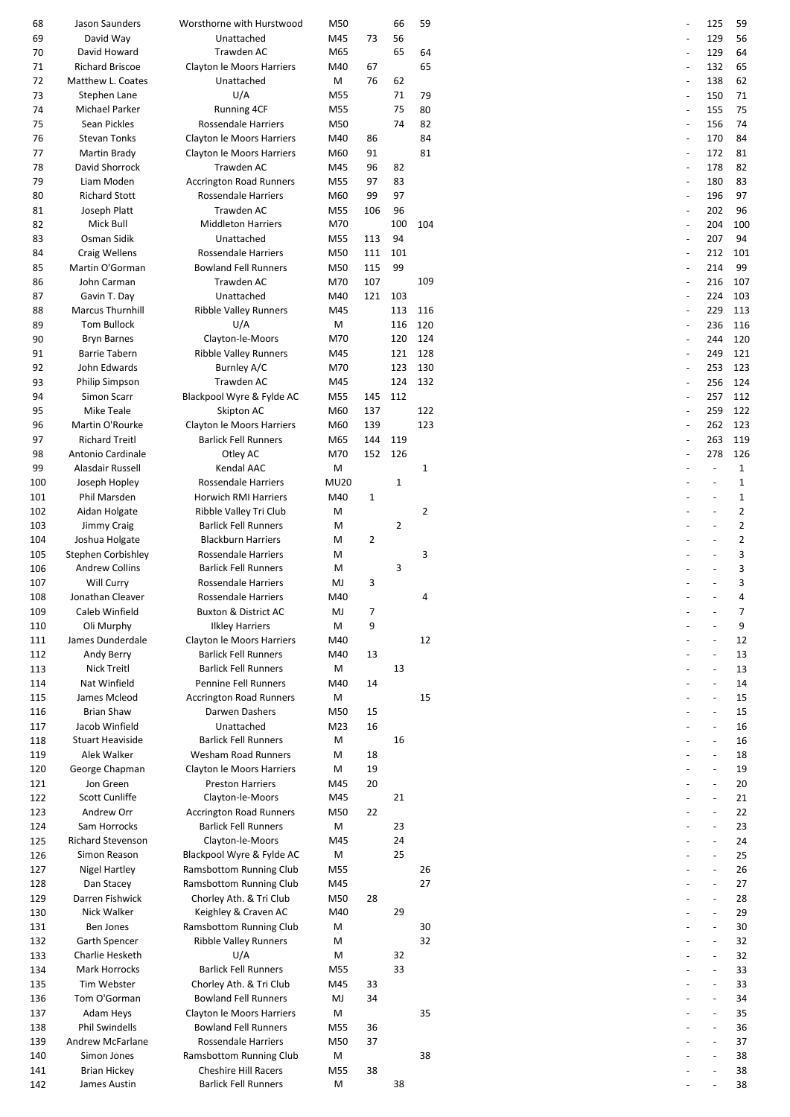| 68  | Jason Saunders           | Worsthorne with Hurstwood       | M50         |             | 66          | 59             |  | 125 |
|-----|--------------------------|---------------------------------|-------------|-------------|-------------|----------------|--|-----|
| 69  | David Way                | Unattached                      | M45         | 73          | 56          |                |  | 129 |
| 70  | David Howard             | Trawden AC                      | M65         |             | 65          | 64             |  | 129 |
| 71  | <b>Richard Briscoe</b>   | Clayton le Moors Harriers       | M40         | 67          |             | 65             |  | 132 |
| 72  | Matthew L. Coates        | Unattached                      | M           | 76          | 62          |                |  | 138 |
| 73  | Stephen Lane             | U/A                             | M55         |             | 71          | 79             |  | 150 |
| 74  | Michael Parker           | <b>Running 4CF</b>              | M55         |             | 75          | 80             |  | 155 |
| 75  | Sean Pickles             | Rossendale Harriers             | M50         |             | 74          | 82             |  | 156 |
|     |                          |                                 |             |             |             |                |  |     |
| 76  | <b>Stevan Tonks</b>      | Clayton le Moors Harriers       | M40         | 86          |             | 84             |  | 170 |
| 77  | Martin Brady             | Clayton le Moors Harriers       | M60         | 91          |             | 81             |  | 172 |
| 78  | David Shorrock           | Trawden AC                      | M45         | 96          | 82          |                |  | 178 |
| 79  | Liam Moden               | <b>Accrington Road Runners</b>  | M55         | 97          | 83          |                |  | 180 |
| 80  | <b>Richard Stott</b>     | Rossendale Harriers             | M60         | 99          | 97          |                |  | 196 |
| 81  | Joseph Platt             | Trawden AC                      | M55         | 106         | 96          |                |  | 202 |
| 82  | Mick Bull                | <b>Middleton Harriers</b>       | M70         |             | 100         | 104            |  | 204 |
| 83  | Osman Sidik              | Unattached                      | M55         | 113         | 94          |                |  | 207 |
|     |                          |                                 |             |             |             |                |  |     |
| 84  | Craig Wellens            | <b>Rossendale Harriers</b>      | M50         | 111         | 101         |                |  | 212 |
| 85  | Martin O'Gorman          | <b>Bowland Fell Runners</b>     | M50         | 115         | 99          |                |  | 214 |
| 86  | John Carman              | Trawden AC                      | M70         | 107         |             | 109            |  | 216 |
| 87  | Gavin T. Day             | Unattached                      | M40         | 121         | 103         |                |  | 224 |
| 88  | Marcus Thurnhill         | <b>Ribble Valley Runners</b>    | M45         |             | 113         | 116            |  | 229 |
| 89  | <b>Tom Bullock</b>       | U/A                             | M           |             | 116         | 120            |  | 236 |
| 90  | <b>Bryn Barnes</b>       | Clayton-le-Moors                | M70         |             | 120         | 124            |  | 244 |
|     |                          |                                 |             |             |             |                |  |     |
| 91  | <b>Barrie Tabern</b>     | <b>Ribble Valley Runners</b>    | M45         |             | 121         | 128            |  | 249 |
| 92  | John Edwards             | Burnley A/C                     | M70         |             | 123         | 130            |  | 253 |
| 93  | <b>Philip Simpson</b>    | Trawden AC                      | M45         |             | 124         | 132            |  | 256 |
| 94  | Simon Scarr              | Blackpool Wyre & Fylde AC       | M55         | 145         | 112         |                |  | 257 |
| 95  | <b>Mike Teale</b>        | Skipton AC                      | M60         | 137         |             | 122            |  | 259 |
| 96  | Martin O'Rourke          | Clayton le Moors Harriers       | M60         | 139         |             | 123            |  | 262 |
| 97  | <b>Richard Treitl</b>    | <b>Barlick Fell Runners</b>     | M65         | 144         | 119         |                |  | 263 |
|     |                          |                                 |             |             |             |                |  |     |
| 98  | Antonio Cardinale        | Otley AC                        | M70         | 152         | 126         |                |  | 278 |
| 99  | Alasdair Russell         | Kendal AAC                      | M           |             |             | $\mathbf{1}$   |  |     |
| 100 | Joseph Hopley            | Rossendale Harriers             | <b>MU20</b> |             | $\mathbf 1$ |                |  |     |
| 101 | Phil Marsden             | Horwich RMI Harriers            | M40         | $\mathbf 1$ |             |                |  |     |
| 102 | Aidan Holgate            | Ribble Valley Tri Club          | M           |             |             | $\overline{2}$ |  |     |
| 103 | Jimmy Craig              | <b>Barlick Fell Runners</b>     | M           |             | 2           |                |  |     |
| 104 | Joshua Holgate           | <b>Blackburn Harriers</b>       | М           | 2           |             |                |  |     |
| 105 | Stephen Corbishley       | <b>Rossendale Harriers</b>      | M           |             |             | 3              |  |     |
|     |                          |                                 |             |             |             |                |  |     |
| 106 | <b>Andrew Collins</b>    | <b>Barlick Fell Runners</b>     | M           |             | 3           |                |  |     |
| 107 | Will Curry               | Rossendale Harriers             | MJ          | 3           |             |                |  |     |
| 108 | Jonathan Cleaver         | <b>Rossendale Harriers</b>      | M40         |             |             | 4              |  |     |
| 109 | Caleb Winfield           | <b>Buxton &amp; District AC</b> | MJ          | 7           |             |                |  |     |
| 110 | Oli Murphy               | <b>Ilkley Harriers</b>          | м           | 9           |             |                |  |     |
| 111 | James Dunderdale         | Clayton le Moors Harriers       | M40         |             |             | 12             |  |     |
| 112 | Andy Berry               | <b>Barlick Fell Runners</b>     | M40         | 13          |             |                |  |     |
|     |                          |                                 |             |             |             |                |  |     |
| 113 | Nick Treitl              | <b>Barlick Fell Runners</b>     | M           |             | 13          |                |  |     |
| 114 | Nat Winfield             | Pennine Fell Runners            | M40         | 14          |             |                |  |     |
| 115 | James Mcleod             | <b>Accrington Road Runners</b>  | М           |             |             | 15             |  |     |
| 116 | <b>Brian Shaw</b>        | Darwen Dashers                  | M50         | 15          |             |                |  |     |
| 117 | Jacob Winfield           | Unattached                      | M23         | 16          |             |                |  |     |
| 118 | <b>Stuart Heaviside</b>  | <b>Barlick Fell Runners</b>     | M           |             | 16          |                |  |     |
| 119 | Alek Walker              | <b>Wesham Road Runners</b>      | м           | 18          |             |                |  |     |
| 120 | George Chapman           | Clayton le Moors Harriers       | м           | 19          |             |                |  |     |
|     |                          |                                 |             |             |             |                |  |     |
| 121 | Jon Green                | <b>Preston Harriers</b>         | M45         | 20          |             |                |  |     |
| 122 | Scott Cunliffe           | Clayton-le-Moors                | M45         |             | 21          |                |  |     |
| 123 | Andrew Orr               | <b>Accrington Road Runners</b>  | M50         | 22          |             |                |  |     |
| 124 | Sam Horrocks             | <b>Barlick Fell Runners</b>     | M           |             | 23          |                |  |     |
| 125 | <b>Richard Stevenson</b> | Clayton-le-Moors                | M45         |             | 24          |                |  |     |
| 126 | Simon Reason             | Blackpool Wyre & Fylde AC       | M           |             | 25          |                |  |     |
| 127 | <b>Nigel Hartley</b>     | Ramsbottom Running Club         | M55         |             |             | 26             |  |     |
|     | Dan Stacey               | Ramsbottom Running Club         |             |             |             | 27             |  |     |
| 128 |                          |                                 | M45         |             |             |                |  |     |
| 129 | Darren Fishwick          | Chorley Ath. & Tri Club         | M50         | 28          |             |                |  |     |
| 130 | Nick Walker              | Keighley & Craven AC            | M40         |             | 29          |                |  |     |
| 131 | Ben Jones                | Ramsbottom Running Club         | M           |             |             | 30             |  |     |
| 132 | Garth Spencer            | <b>Ribble Valley Runners</b>    | м           |             |             | 32             |  |     |
| 133 | Charlie Hesketh          | U/A                             | M           |             | 32          |                |  |     |
| 134 | Mark Horrocks            | <b>Barlick Fell Runners</b>     | M55         |             | 33          |                |  |     |
|     | Tim Webster              | Chorley Ath. & Tri Club         | M45         |             |             |                |  |     |
| 135 |                          |                                 |             | 33          |             |                |  |     |
| 136 | Tom O'Gorman             | <b>Bowland Fell Runners</b>     | MJ          | 34          |             |                |  |     |
| 137 | Adam Heys                | Clayton le Moors Harriers       | M           |             |             | 35             |  |     |
| 138 | <b>Phil Swindells</b>    | <b>Bowland Fell Runners</b>     | M55         | 36          |             |                |  |     |
| 139 | Andrew McFarlane         | <b>Rossendale Harriers</b>      | M50         | 37          |             |                |  |     |
| 140 | Simon Jones              | Ramsbottom Running Club         | M           |             |             | 38             |  |     |
| 141 | <b>Brian Hickey</b>      | <b>Cheshire Hill Racers</b>     | M55         | 38          |             |                |  |     |
| 142 | James Austin             | <b>Barlick Fell Runners</b>     | М           |             | 38          |                |  |     |
|     |                          |                                 |             |             |             |                |  |     |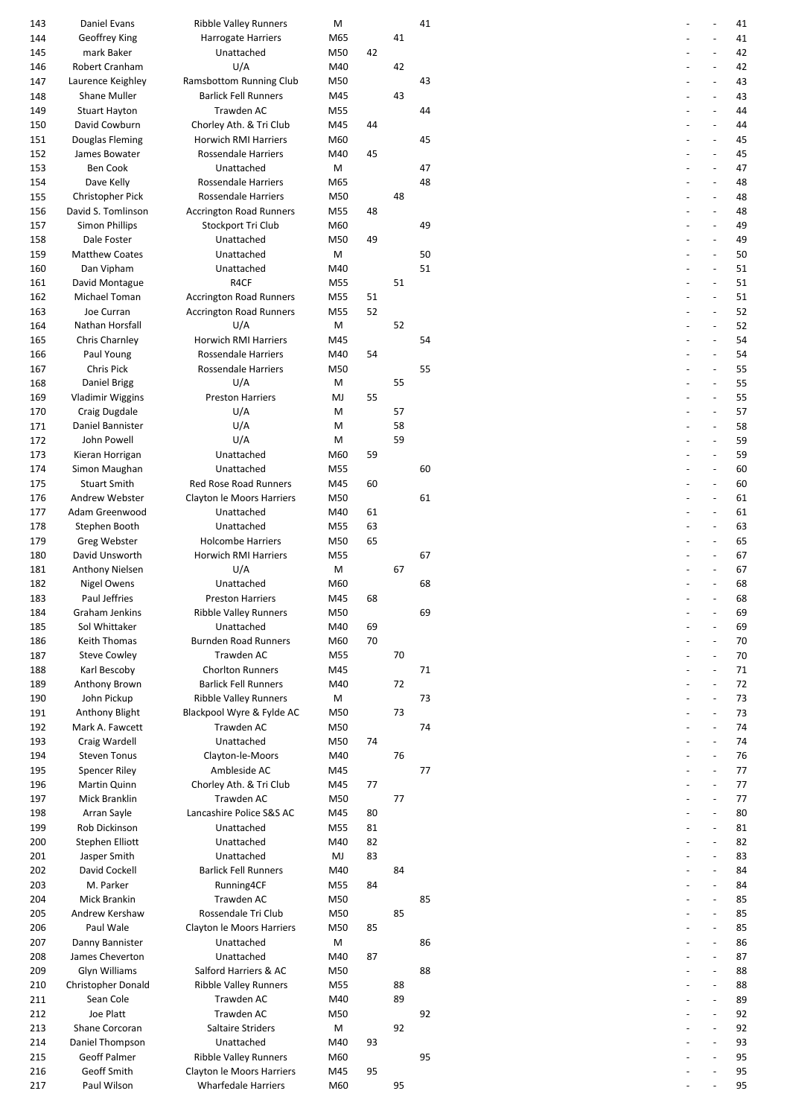| 143 | Daniel Evans            | <b>Ribble Valley Runners</b>   | М   |    |    | 41 |  | 41 |
|-----|-------------------------|--------------------------------|-----|----|----|----|--|----|
| 144 | Geoffrey King           | <b>Harrogate Harriers</b>      | M65 |    | 41 |    |  | 41 |
| 145 | mark Baker              | Unattached                     | M50 | 42 |    |    |  | 42 |
| 146 | Robert Cranham          | U/A                            | M40 |    | 42 |    |  | 42 |
| 147 | Laurence Keighley       | Ramsbottom Running Club        | M50 |    |    | 43 |  | 43 |
| 148 | Shane Muller            | <b>Barlick Fell Runners</b>    | M45 |    | 43 |    |  | 43 |
| 149 | <b>Stuart Hayton</b>    | Trawden AC                     | M55 |    |    | 44 |  | 44 |
| 150 | David Cowburn           | Chorley Ath. & Tri Club        | M45 | 44 |    |    |  | 44 |
|     |                         |                                |     |    |    |    |  |    |
| 151 | Douglas Fleming         | Horwich RMI Harriers           | M60 |    |    | 45 |  | 45 |
| 152 | James Bowater           | Rossendale Harriers            | M40 | 45 |    |    |  | 45 |
| 153 | <b>Ben Cook</b>         | Unattached                     | M   |    |    | 47 |  | 47 |
| 154 | Dave Kelly              | <b>Rossendale Harriers</b>     | M65 |    |    | 48 |  | 48 |
| 155 | <b>Christopher Pick</b> | Rossendale Harriers            | M50 |    | 48 |    |  | 48 |
| 156 | David S. Tomlinson      | <b>Accrington Road Runners</b> | M55 | 48 |    |    |  | 48 |
| 157 | Simon Phillips          | Stockport Tri Club             | M60 |    |    | 49 |  | 49 |
| 158 | Dale Foster             | Unattached                     | M50 | 49 |    |    |  | 49 |
| 159 | <b>Matthew Coates</b>   | Unattached                     | М   |    |    | 50 |  | 50 |
|     |                         |                                |     |    |    |    |  |    |
| 160 | Dan Vipham              | Unattached                     | M40 |    |    | 51 |  | 51 |
| 161 | David Montague          | R4CF                           | M55 |    | 51 |    |  | 51 |
| 162 | Michael Toman           | <b>Accrington Road Runners</b> | M55 | 51 |    |    |  | 51 |
| 163 | Joe Curran              | <b>Accrington Road Runners</b> | M55 | 52 |    |    |  | 52 |
| 164 | Nathan Horsfall         | U/A                            | M   |    | 52 |    |  | 52 |
| 165 | Chris Charnley          | <b>Horwich RMI Harriers</b>    | M45 |    |    | 54 |  | 54 |
| 166 | Paul Young              | <b>Rossendale Harriers</b>     | M40 | 54 |    |    |  | 54 |
| 167 | Chris Pick              | Rossendale Harriers            | M50 |    |    | 55 |  | 55 |
|     |                         | U/A                            |     |    |    |    |  |    |
| 168 | Daniel Brigg            |                                | M   |    | 55 |    |  | 55 |
| 169 | <b>Vladimir Wiggins</b> | <b>Preston Harriers</b>        | MJ  | 55 |    |    |  | 55 |
| 170 | Craig Dugdale           | U/A                            | M   |    | 57 |    |  | 57 |
| 171 | Daniel Bannister        | U/A                            | M   |    | 58 |    |  | 58 |
| 172 | John Powell             | U/A                            | M   |    | 59 |    |  | 59 |
| 173 | Kieran Horrigan         | Unattached                     | M60 | 59 |    |    |  | 59 |
| 174 | Simon Maughan           | Unattached                     | M55 |    |    | 60 |  | 60 |
| 175 | <b>Stuart Smith</b>     | <b>Red Rose Road Runners</b>   | M45 | 60 |    |    |  | 60 |
|     | Andrew Webster          |                                |     |    |    | 61 |  | 61 |
| 176 |                         | Clayton le Moors Harriers      | M50 |    |    |    |  |    |
| 177 | Adam Greenwood          | Unattached                     | M40 | 61 |    |    |  | 61 |
| 178 | Stephen Booth           | Unattached                     | M55 | 63 |    |    |  | 63 |
| 179 | Greg Webster            | <b>Holcombe Harriers</b>       | M50 | 65 |    |    |  | 65 |
| 180 | David Unsworth          | <b>Horwich RMI Harriers</b>    | M55 |    |    | 67 |  | 67 |
| 181 | <b>Anthony Nielsen</b>  | U/A                            | M   |    | 67 |    |  | 67 |
| 182 | Nigel Owens             | Unattached                     | M60 |    |    | 68 |  | 68 |
| 183 | Paul Jeffries           | <b>Preston Harriers</b>        | M45 | 68 |    |    |  | 68 |
| 184 | Graham Jenkins          | Ribble Valley Runners          | M50 |    |    | 69 |  | 69 |
|     |                         |                                |     |    |    |    |  |    |
| 185 | Sol Whittaker           | Unattached                     | M40 | 69 |    |    |  | 69 |
| 186 | Keith Thomas            | <b>Burnden Road Runners</b>    | M60 | 70 |    |    |  | 70 |
| 187 | <b>Steve Cowley</b>     | Trawden AC                     | M55 |    | 70 |    |  | 70 |
| 188 | Karl Bescoby            | <b>Chorlton Runners</b>        | M45 |    |    | 71 |  | 71 |
| 189 | Anthony Brown           | <b>Barlick Fell Runners</b>    | M40 |    | 72 |    |  | 72 |
| 190 | John Pickup             | <b>Ribble Valley Runners</b>   | M   |    |    | 73 |  | 73 |
| 191 | Anthony Blight          | Blackpool Wyre & Fylde AC      | M50 |    | 73 |    |  | 73 |
| 192 | Mark A. Fawcett         | Trawden AC                     | M50 |    |    | 74 |  | 74 |
|     |                         |                                |     |    |    |    |  | 74 |
| 193 | Craig Wardell           | Unattached                     | M50 | 74 |    |    |  |    |
| 194 | <b>Steven Tonus</b>     | Clayton-le-Moors               | M40 |    | 76 |    |  | 76 |
| 195 | Spencer Riley           | Ambleside AC                   | M45 |    |    | 77 |  | 77 |
| 196 | Martin Quinn            | Chorley Ath. & Tri Club        | M45 | 77 |    |    |  | 77 |
| 197 | Mick Branklin           | Trawden AC                     | M50 |    | 77 |    |  | 77 |
| 198 | Arran Sayle             | Lancashire Police S&S AC       | M45 | 80 |    |    |  | 80 |
| 199 | Rob Dickinson           | Unattached                     | M55 | 81 |    |    |  | 81 |
| 200 | Stephen Elliott         | Unattached                     | M40 | 82 |    |    |  | 82 |
| 201 | Jasper Smith            | Unattached                     | MJ  | 83 |    |    |  | 83 |
|     | David Cockell           | <b>Barlick Fell Runners</b>    |     |    |    |    |  |    |
| 202 |                         |                                | M40 |    | 84 |    |  | 84 |
| 203 | M. Parker               | Running4CF                     | M55 | 84 |    |    |  | 84 |
| 204 | Mick Brankin            | Trawden AC                     | M50 |    |    | 85 |  | 85 |
| 205 | Andrew Kershaw          | Rossendale Tri Club            | M50 |    | 85 |    |  | 85 |
| 206 | Paul Wale               | Clayton le Moors Harriers      | M50 | 85 |    |    |  | 85 |
| 207 | Danny Bannister         | Unattached                     | М   |    |    | 86 |  | 86 |
| 208 | James Cheverton         | Unattached                     | M40 | 87 |    |    |  | 87 |
| 209 | Glyn Williams           | Salford Harriers & AC          | M50 |    |    | 88 |  | 88 |
| 210 | Christopher Donald      | <b>Ribble Valley Runners</b>   | M55 |    | 88 |    |  | 88 |
|     | Sean Cole               | Trawden AC                     |     |    | 89 |    |  | 89 |
| 211 |                         |                                | M40 |    |    |    |  |    |
| 212 | Joe Platt               | Trawden AC                     | M50 |    |    | 92 |  | 92 |
| 213 | Shane Corcoran          | Saltaire Striders              | M   |    | 92 |    |  | 92 |
| 214 | Daniel Thompson         | Unattached                     | M40 | 93 |    |    |  | 93 |
| 215 | <b>Geoff Palmer</b>     | <b>Ribble Valley Runners</b>   | M60 |    |    | 95 |  | 95 |
| 216 | Geoff Smith             | Clayton le Moors Harriers      | M45 | 95 |    |    |  | 95 |
| 217 | Paul Wilson             | <b>Wharfedale Harriers</b>     | M60 |    | 95 |    |  | 95 |
|     |                         |                                |     |    |    |    |  |    |